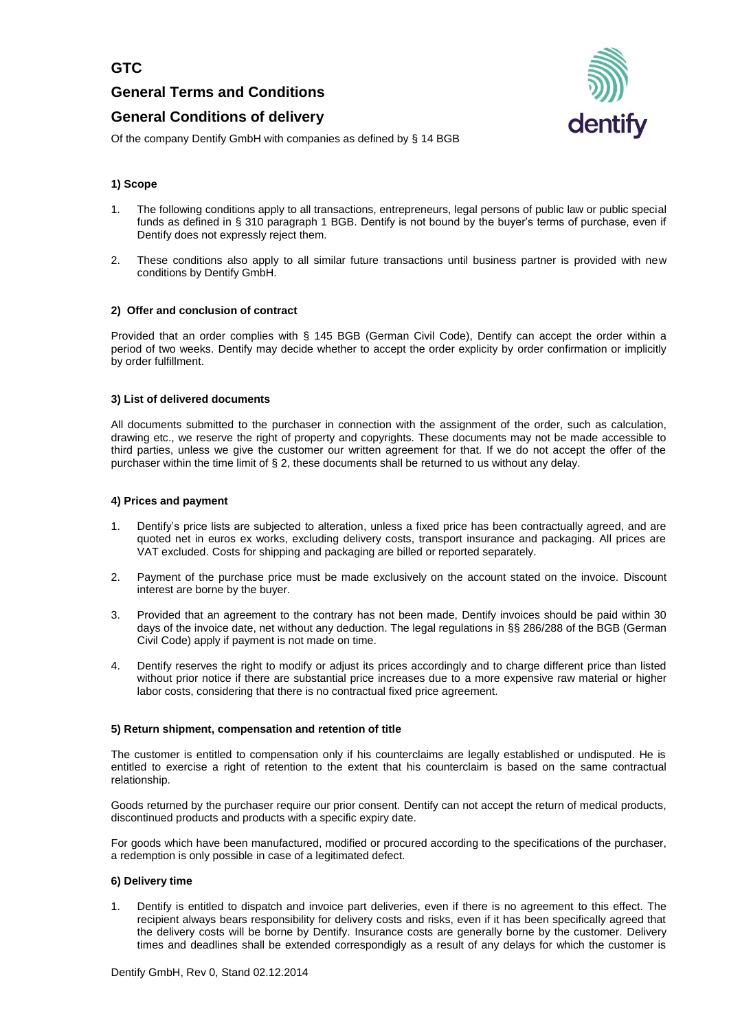**General Terms and Conditions** 

# **General Conditions of delivery**



Of the company Dentify GmbH with companies as defined by § 14 BGB

## **1) Scope**

- 1. The following conditions apply to all transactions, entrepreneurs, legal persons of public law or public special funds as defined in § 310 paragraph 1 BGB. Dentify is not bound by the buyer's terms of purchase, even if Dentify does not expressly reject them.
- 2. These conditions also apply to all similar future transactions until business partner is provided with new conditions by Dentify GmbH.

#### **2) Offer and conclusion of contract**

Provided that an order complies with § 145 BGB (German Civil Code), Dentify can accept the order within a period of two weeks. Dentify may decide whether to accept the order explicity by order confirmation or implicitly by order fulfillment.

#### **3) List of delivered documents**

All documents submitted to the purchaser in connection with the assignment of the order, such as calculation, drawing etc., we reserve the right of property and copyrights. These documents may not be made accessible to third parties, unless we give the customer our written agreement for that. If we do not accept the offer of the purchaser within the time limit of § 2, these documents shall be returned to us without any delay.

#### **4) Prices and payment**

- 1. Dentify's price lists are subjected to alteration, unless a fixed price has been contractually agreed, and are quoted net in euros ex works, excluding delivery costs, transport insurance and packaging. All prices are VAT excluded. Costs for shipping and packaging are billed or reported separately.
- 2. Payment of the purchase price must be made exclusively on the account stated on the invoice. Discount interest are borne by the buyer.
- 3. Provided that an agreement to the contrary has not been made, Dentify invoices should be paid within 30 days of the invoice date, net without any deduction. The legal regulations in §§ 286/288 of the BGB (German Civil Code) apply if payment is not made on time.
- 4. Dentify reserves the right to modify or adjust its prices accordingly and to charge different price than listed without prior notice if there are substantial price increases due to a more expensive raw material or higher labor costs, considering that there is no contractual fixed price agreement.

#### **5) Return shipment, compensation and retention of title**

The customer is entitled to compensation only if his counterclaims are legally established or undisputed. He is entitled to exercise a right of retention to the extent that his counterclaim is based on the same contractual relationship.

Goods returned by the purchaser require our prior consent. Dentify can not accept the return of medical products, discontinued products and products with a specific expiry date.

For goods which have been manufactured, modified or procured according to the specifications of the purchaser, a redemption is only possible in case of a legitimated defect.

#### **6) Delivery time**

1. Dentify is entitled to dispatch and invoice part deliveries, even if there is no agreement to this effect. The recipient always bears responsibility for delivery costs and risks, even if it has been specifically agreed that the delivery costs will be borne by Dentify. Insurance costs are generally borne by the customer. Delivery times and deadlines shall be extended correspondigly as a result of any delays for which the customer is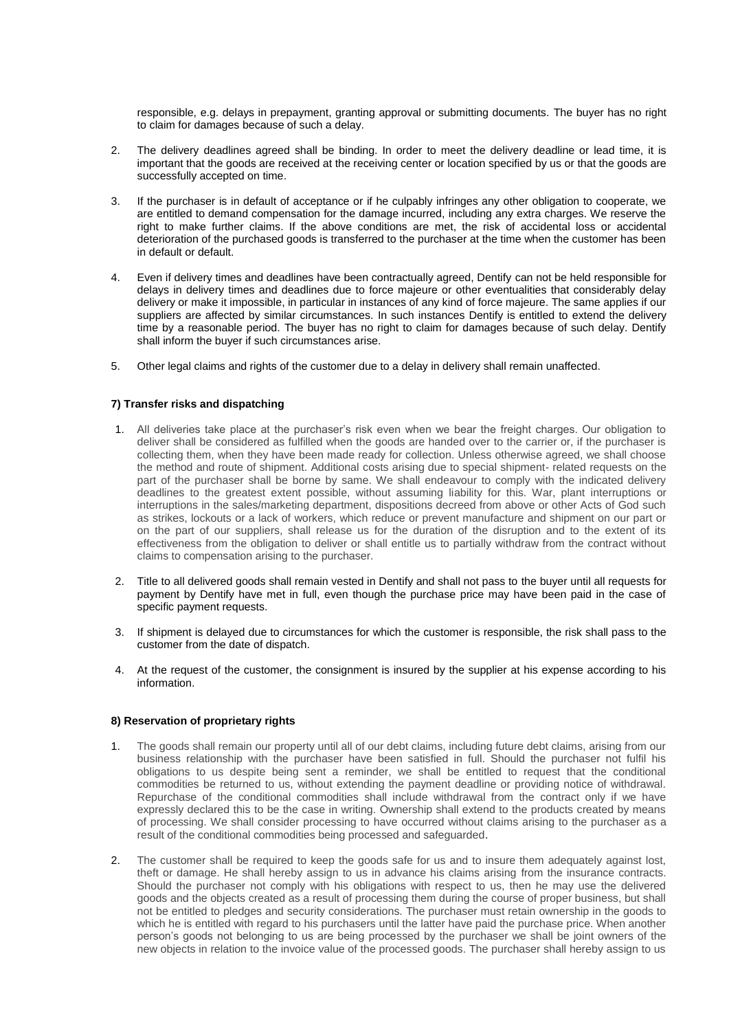responsible, e.g. delays in prepayment, granting approval or submitting documents. The buyer has no right to claim for damages because of such a delay.

- 2. The delivery deadlines agreed shall be binding. In order to meet the delivery deadline or lead time, it is important that the goods are received at the receiving center or location specified by us or that the goods are successfully accepted on time.
- 3. If the purchaser is in default of acceptance or if he culpably infringes any other obligation to cooperate, we are entitled to demand compensation for the damage incurred, including any extra charges. We reserve the right to make further claims. If the above conditions are met, the risk of accidental loss or accidental deterioration of the purchased goods is transferred to the purchaser at the time when the customer has been in default or default.
- 4. Even if delivery times and deadlines have been contractually agreed, Dentify can not be held responsible for delays in delivery times and deadlines due to force majeure or other eventualities that considerably delay delivery or make it impossible, in particular in instances of any kind of force majeure. The same applies if our suppliers are affected by similar circumstances. In such instances Dentify is entitled to extend the delivery time by a reasonable period. The buyer has no right to claim for damages because of such delay. Dentify shall inform the buyer if such circumstances arise.
- 5. Other legal claims and rights of the customer due to a delay in delivery shall remain unaffected.

## **7) Transfer risks and dispatching**

- 1. All deliveries take place at the purchaser's risk even when we bear the freight charges. Our obligation to deliver shall be considered as fulfilled when the goods are handed over to the carrier or, if the purchaser is collecting them, when they have been made ready for collection. Unless otherwise agreed, we shall choose the method and route of shipment. Additional costs arising due to special shipment- related requests on the part of the purchaser shall be borne by same. We shall endeavour to comply with the indicated delivery deadlines to the greatest extent possible, without assuming liability for this. War, plant interruptions or interruptions in the sales/marketing department, dispositions decreed from above or other Acts of God such as strikes, lockouts or a lack of workers, which reduce or prevent manufacture and shipment on our part or on the part of our suppliers, shall release us for the duration of the disruption and to the extent of its effectiveness from the obligation to deliver or shall entitle us to partially withdraw from the contract without claims to compensation arising to the purchaser.
- 2. Title to all delivered goods shall remain vested in Dentify and shall not pass to the buyer until all requests for payment by Dentify have met in full, even though the purchase price may have been paid in the case of specific payment requests.
- 3. If shipment is delayed due to circumstances for which the customer is responsible, the risk shall pass to the customer from the date of dispatch.
- 4. At the request of the customer, the consignment is insured by the supplier at his expense according to his information.

#### **8) Reservation of proprietary rights**

- 1. The goods shall remain our property until all of our debt claims, including future debt claims, arising from our business relationship with the purchaser have been satisfied in full. Should the purchaser not fulfil his obligations to us despite being sent a reminder, we shall be entitled to request that the conditional commodities be returned to us, without extending the payment deadline or providing notice of withdrawal. Repurchase of the conditional commodities shall include withdrawal from the contract only if we have expressly declared this to be the case in writing. Ownership shall extend to the products created by means of processing. We shall consider processing to have occurred without claims arising to the purchaser as a result of the conditional commodities being processed and safeguarded.
- 2. The customer shall be required to keep the goods safe for us and to insure them adequately against lost, theft or damage. He shall hereby assign to us in advance his claims arising from the insurance contracts. Should the purchaser not comply with his obligations with respect to us, then he may use the delivered goods and the objects created as a result of processing them during the course of proper business, but shall not be entitled to pledges and security considerations. The purchaser must retain ownership in the goods to which he is entitled with regard to his purchasers until the latter have paid the purchase price. When another person's goods not belonging to us are being processed by the purchaser we shall be joint owners of the new objects in relation to the invoice value of the processed goods. The purchaser shall hereby assign to us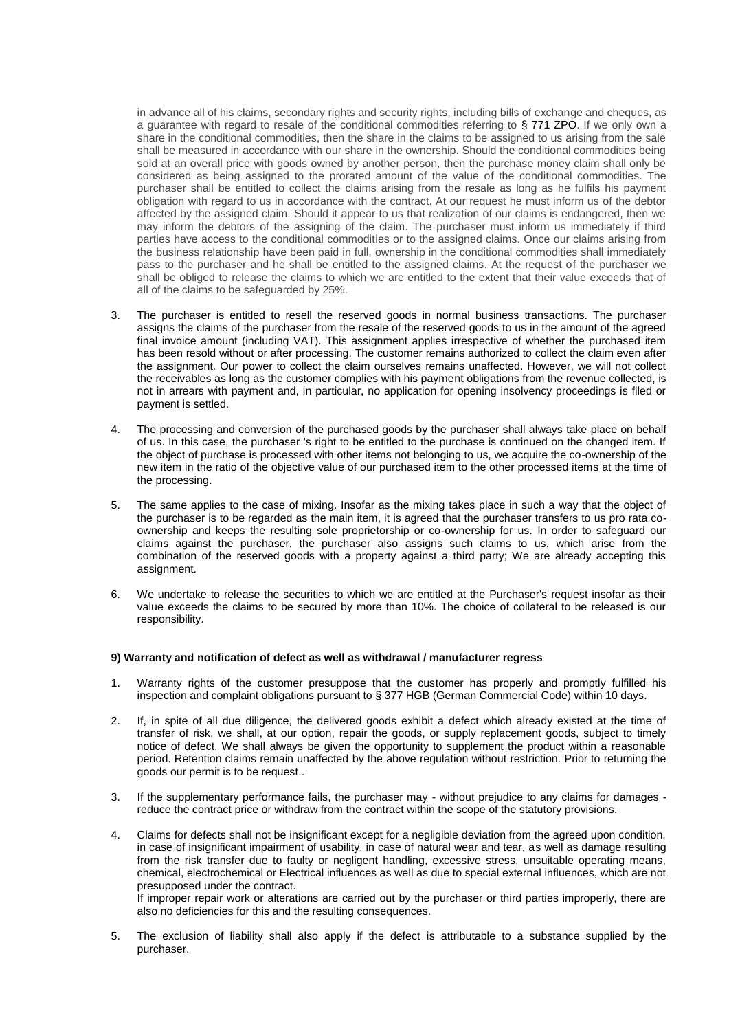in advance all of his claims, secondary rights and security rights, including bills of exchange and cheques, as a quarantee with regard to resale of the conditional commodities referring to § 771 ZPO. If we only own a share in the conditional commodities, then the share in the claims to be assigned to us arising from the sale shall be measured in accordance with our share in the ownership. Should the conditional commodities being sold at an overall price with goods owned by another person, then the purchase money claim shall only be considered as being assigned to the prorated amount of the value of the conditional commodities. The purchaser shall be entitled to collect the claims arising from the resale as long as he fulfils his payment obligation with regard to us in accordance with the contract. At our request he must inform us of the debtor affected by the assigned claim. Should it appear to us that realization of our claims is endangered, then we may inform the debtors of the assigning of the claim. The purchaser must inform us immediately if third parties have access to the conditional commodities or to the assigned claims. Once our claims arising from the business relationship have been paid in full, ownership in the conditional commodities shall immediately pass to the purchaser and he shall be entitled to the assigned claims. At the request of the purchaser we shall be obliged to release the claims to which we are entitled to the extent that their value exceeds that of all of the claims to be safeguarded by 25%.

- 3. The purchaser is entitled to resell the reserved goods in normal business transactions. The purchaser assigns the claims of the purchaser from the resale of the reserved goods to us in the amount of the agreed final invoice amount (including VAT). This assignment applies irrespective of whether the purchased item has been resold without or after processing. The customer remains authorized to collect the claim even after the assignment. Our power to collect the claim ourselves remains unaffected. However, we will not collect the receivables as long as the customer complies with his payment obligations from the revenue collected, is not in arrears with payment and, in particular, no application for opening insolvency proceedings is filed or payment is settled.
- 4. The processing and conversion of the purchased goods by the purchaser shall always take place on behalf of us. In this case, the purchaser 's right to be entitled to the purchase is continued on the changed item. If the object of purchase is processed with other items not belonging to us, we acquire the co-ownership of the new item in the ratio of the objective value of our purchased item to the other processed items at the time of the processing.
- 5. The same applies to the case of mixing. Insofar as the mixing takes place in such a way that the object of the purchaser is to be regarded as the main item, it is agreed that the purchaser transfers to us pro rata coownership and keeps the resulting sole proprietorship or co-ownership for us. In order to safeguard our claims against the purchaser, the purchaser also assigns such claims to us, which arise from the combination of the reserved goods with a property against a third party; We are already accepting this assignment.
- 6. We undertake to release the securities to which we are entitled at the Purchaser's request insofar as their value exceeds the claims to be secured by more than 10%. The choice of collateral to be released is our responsibility.

#### **9) Warranty and notification of defect as well as withdrawal / manufacturer regress**

- 1. Warranty rights of the customer presuppose that the customer has properly and promptly fulfilled his inspection and complaint obligations pursuant to § 377 HGB (German Commercial Code) within 10 days.
- 2. If, in spite of all due diligence, the delivered goods exhibit a defect which already existed at the time of transfer of risk, we shall, at our option, repair the goods, or supply replacement goods, subject to timely notice of defect. We shall always be given the opportunity to supplement the product within a reasonable period. Retention claims remain unaffected by the above regulation without restriction. Prior to returning the goods our permit is to be request..
- 3. If the supplementary performance fails, the purchaser may without prejudice to any claims for damages reduce the contract price or withdraw from the contract within the scope of the statutory provisions.
- 4. Claims for defects shall not be insignificant except for a negligible deviation from the agreed upon condition, in case of insignificant impairment of usability, in case of natural wear and tear, as well as damage resulting from the risk transfer due to faulty or negligent handling, excessive stress, unsuitable operating means, chemical, electrochemical or Electrical influences as well as due to special external influences, which are not presupposed under the contract. If improper repair work or alterations are carried out by the purchaser or third parties improperly, there are

also no deficiencies for this and the resulting consequences.

5. The exclusion of liability shall also apply if the defect is attributable to a substance supplied by the purchaser.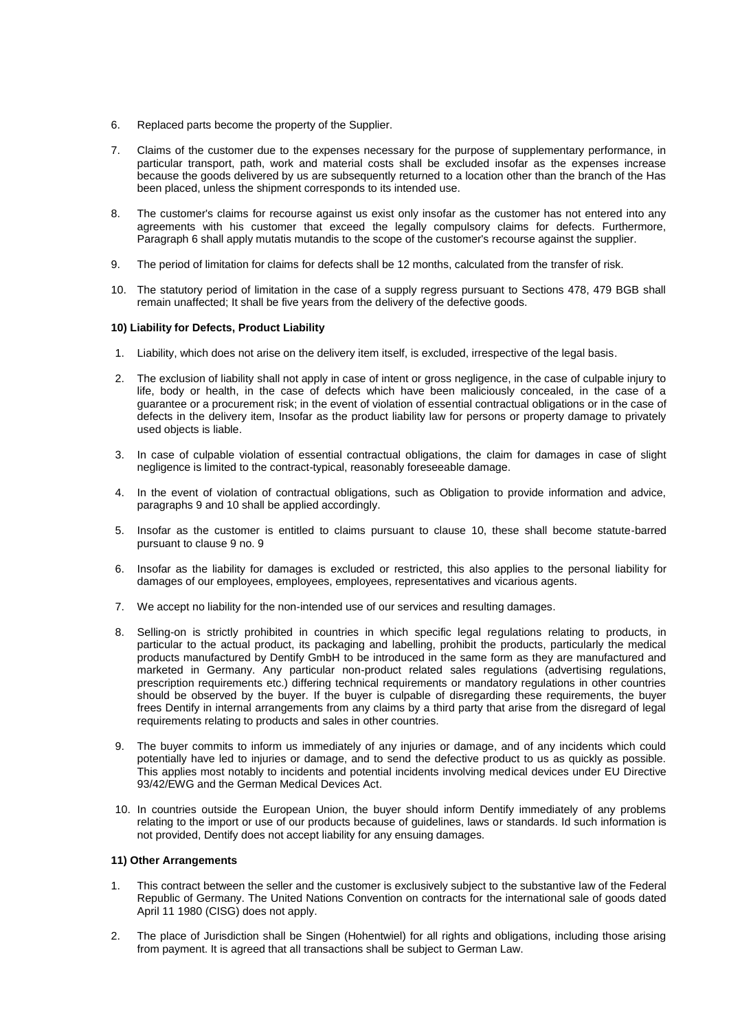- 6. Replaced parts become the property of the Supplier.
- 7. Claims of the customer due to the expenses necessary for the purpose of supplementary performance, in particular transport, path, work and material costs shall be excluded insofar as the expenses increase because the goods delivered by us are subsequently returned to a location other than the branch of the Has been placed, unless the shipment corresponds to its intended use.
- 8. The customer's claims for recourse against us exist only insofar as the customer has not entered into any agreements with his customer that exceed the legally compulsory claims for defects. Furthermore, Paragraph 6 shall apply mutatis mutandis to the scope of the customer's recourse against the supplier.
- 9. The period of limitation for claims for defects shall be 12 months, calculated from the transfer of risk.
- 10. The statutory period of limitation in the case of a supply regress pursuant to Sections 478, 479 BGB shall remain unaffected; It shall be five years from the delivery of the defective goods.

### **10) Liability for Defects, Product Liability**

- 1. Liability, which does not arise on the delivery item itself, is excluded, irrespective of the legal basis.
- 2. The exclusion of liability shall not apply in case of intent or gross negligence, in the case of culpable injury to life, body or health, in the case of defects which have been maliciously concealed, in the case of a guarantee or a procurement risk; in the event of violation of essential contractual obligations or in the case of defects in the delivery item, Insofar as the product liability law for persons or property damage to privately used objects is liable.
- 3. In case of culpable violation of essential contractual obligations, the claim for damages in case of slight negligence is limited to the contract-typical, reasonably foreseeable damage.
- 4. In the event of violation of contractual obligations, such as Obligation to provide information and advice, paragraphs 9 and 10 shall be applied accordingly.
- 5. Insofar as the customer is entitled to claims pursuant to clause 10, these shall become statute-barred pursuant to clause 9 no. 9
- 6. Insofar as the liability for damages is excluded or restricted, this also applies to the personal liability for damages of our employees, employees, employees, representatives and vicarious agents.
- 7. We accept no liability for the non-intended use of our services and resulting damages.
- 8. Selling-on is strictly prohibited in countries in which specific legal regulations relating to products, in particular to the actual product, its packaging and labelling, prohibit the products, particularly the medical products manufactured by Dentify GmbH to be introduced in the same form as they are manufactured and marketed in Germany. Any particular non-product related sales regulations (advertising regulations, prescription requirements etc.) differing technical requirements or mandatory regulations in other countries should be observed by the buyer. If the buyer is culpable of disregarding these requirements, the buyer frees Dentify in internal arrangements from any claims by a third party that arise from the disregard of legal requirements relating to products and sales in other countries.
- 9. The buyer commits to inform us immediately of any injuries or damage, and of any incidents which could potentially have led to injuries or damage, and to send the defective product to us as quickly as possible. This applies most notably to incidents and potential incidents involving medical devices under EU Directive 93/42/EWG and the German Medical Devices Act.
- 10. In countries outside the European Union, the buyer should inform Dentify immediately of any problems relating to the import or use of our products because of guidelines, laws or standards. Id such information is not provided, Dentify does not accept liability for any ensuing damages.

#### **11) Other Arrangements**

- 1. This contract between the seller and the customer is exclusively subject to the substantive law of the Federal Republic of Germany. The United Nations Convention on contracts for the international sale of goods dated April 11 1980 (CISG) does not apply.
- 2. The place of Jurisdiction shall be Singen (Hohentwiel) for all rights and obligations, including those arising from payment. It is agreed that all transactions shall be subject to German Law.